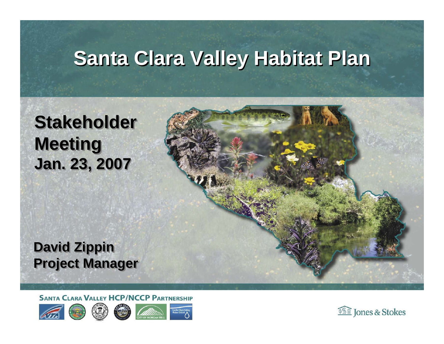#### **Santa Clara Valley Habitat Plan**

#### **Stakeholder Stakeholder Meeting Meeting Jan. 23, 2007 Jan. 23, 2007**

**David Zippin David Zippin Project Manager Project Manager**

**SANTA CLARA VALLEY HCP/NCCP PARTNERSHIP** 









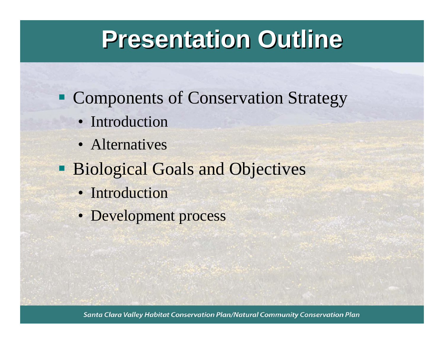#### **Presentation Outline Presentation Outline**

- **Components of Conservation Strategy** 
	- Introduction
	- Alternatives
- **Biological Goals and Objectives** 
	- Introduction
	- Development process

Santa Clara Valley Habitat Conservation Plan/Natural Community Conservation Plan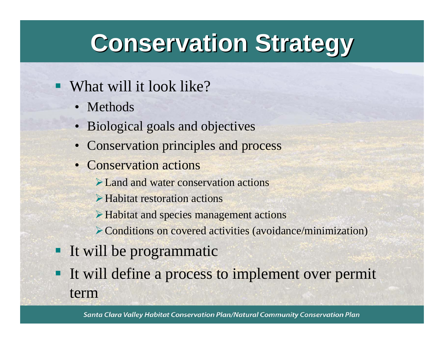### **Conservation Strategy Conservation Strategy**

#### What will it look like?

- Methods
- Biological goals and objectives
- Conservation principles and process
- Conservation actions
	- ¾Land and water conservation actions
	- ¾Habitat restoration actions
	- ¾Habitat and species management actions
	- ¾Conditions on covered activities (avoidance/minimization)
- It will be programmatic
- It will define a process to implement over permit term

Santa Clara Valley Habitat Conservation Plan/Natural Community Conservation Plan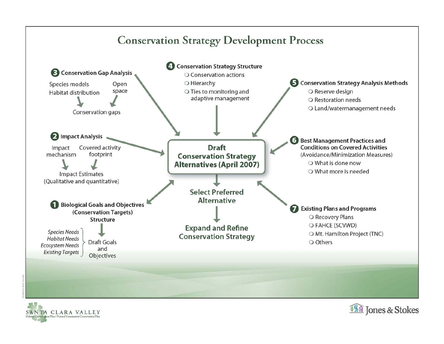#### **Conservation Strategy Development Process**





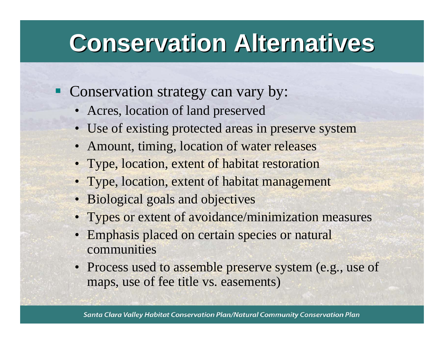- Conservation strategy can vary by:
	- Acres, location of land preserved
	- Use of existing protected areas in preserve system
	- Amount, timing, location of water releases
	- Type, location, extent of habitat restoration
	- Type, location, extent of habitat management
	- Biological goals and objectives
	- Types or extent of avoidance/minimization measures
	- Emphasis placed on certain species or natural communities
	- Process used to assemble preserve system (e.g., use of maps, use of fee title vs. easements)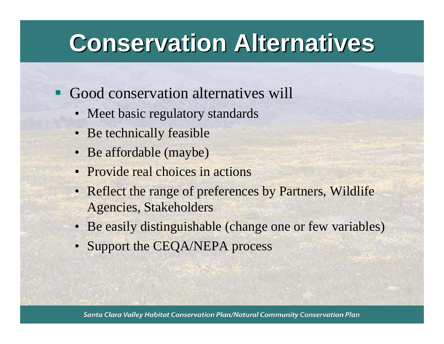- Good conservation alternatives will
	- Meet basic regulatory standards
	- Be technically feasible
	- Be affordable (maybe)
	- Provide real choices in actions
	- Reflect the range of preferences by Partners, Wildlife Agencies, Stakeholders
	- Be easily distinguishable (change one or few variables)
	- Support the CEQA/NEPA process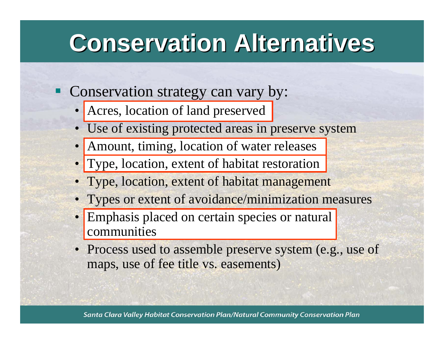- Conservation strategy can vary by:
	- Acres, location of land preserved
	- Use of existing protected areas in preserve system
	- Amount, timing, location of water releases
	- Type, location, extent of habitat restoration
	- Type, location, extent of habitat management
	- Types or extent of avoidance/minimization measures
	- **Emphasis placed on certain species or natural** communities
	- Process used to assemble preserve system (e.g., use of maps, use of fee title vs. easements)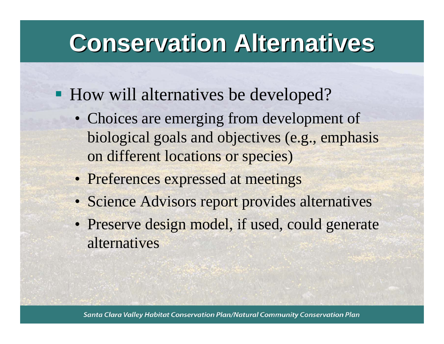- **How will alternatives be developed?** 
	- Choices are emerging from development of biological goals and objectives (e.g., emphasis on different locations or species)
	- Preferences expressed at meetings
	- Science Advisors report provides alternatives
	- Preserve design model, if used, could generate alternatives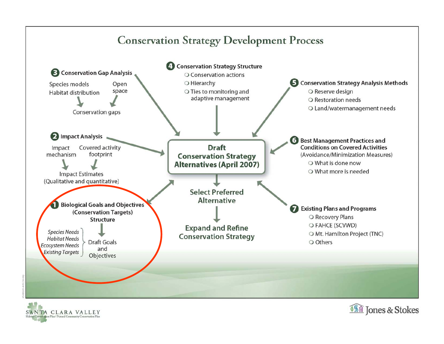#### **Conservation Strategy Development Process**



SANTA CLARA VALLEY stion Plan / Natural Community Conservation Plan

![](_page_8_Picture_3.jpeg)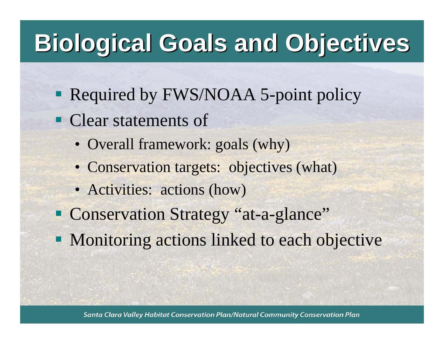## **Biological Goals and Objectives Biological Goals and Objectives**

- **Required by FWS/NOAA 5-point policy**
- Clear statements of
	- Overall framework: goals (why)
	- Conservation targets: objectives (what)
	- Activities: actions (how)
- Conservation Strategy "at-a-glance"
- **Monitoring actions linked to each objective**

Santa Clara Valley Habitat Conservation Plan/Natural Community Conservation Plan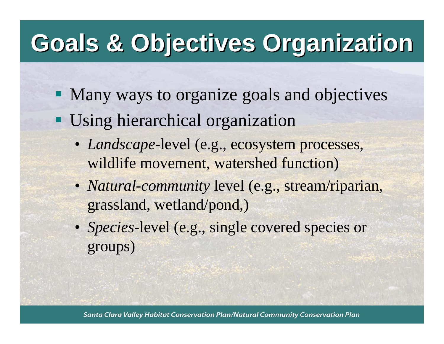# **Goals & Objectives Organization Goals & Objectives Organization**

- Many ways to organize goals and objectives
- **Using hierarchical organization** 
	- *Landscape*-level (e.g., ecosystem processes, wildlife movement, watershed function)
	- *Natural-community* level (e.g., stream/riparian, grassland, wetland/pond,)
	- *Species*-level (e.g., single covered species or groups)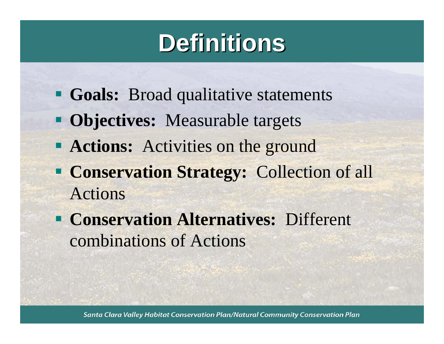## **Definitions Definitions**

- **Goals:** Broad qualitative statements
- **Objectives:** Measurable targets
- **Actions:** Activities on the ground
- **Conservation Strategy: Collection of all** Actions
- **Conservation Alternatives: Different** combinations of Actions